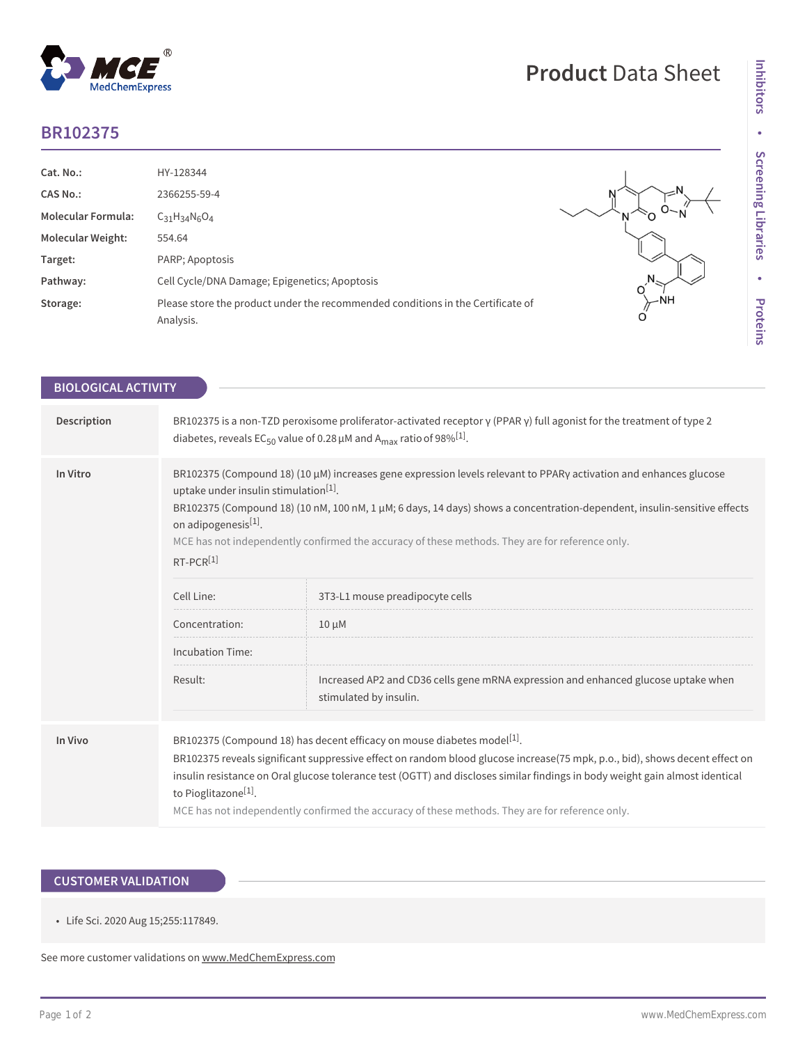## **BR102375**

 $^{\circledR}$ 

MedChemExpress

| Cat. No.:                 | HY-128344                                                                                    |        |
|---------------------------|----------------------------------------------------------------------------------------------|--------|
| <b>CAS No.:</b>           | 2366255-59-4                                                                                 |        |
| <b>Molecular Formula:</b> | $C_{31}H_{34}N_6O_4$                                                                         |        |
| <b>Molecular Weight:</b>  | 554.64                                                                                       |        |
| Target:                   | PARP; Apoptosis                                                                              |        |
| Pathway:                  | Cell Cycle/DNA Damage; Epigenetics; Apoptosis                                                |        |
| Storage:                  | Please store the product under the recommended conditions in the Certificate of<br>Analysis. | $-$ NH |

**Product** Data Sheet

| <b>BIOLOGICAL ACTIVITY</b> |                                                                                                                                                                                                                                                                                                                                                                                                                                                                                           |                                                                                                              |  |
|----------------------------|-------------------------------------------------------------------------------------------------------------------------------------------------------------------------------------------------------------------------------------------------------------------------------------------------------------------------------------------------------------------------------------------------------------------------------------------------------------------------------------------|--------------------------------------------------------------------------------------------------------------|--|
|                            |                                                                                                                                                                                                                                                                                                                                                                                                                                                                                           |                                                                                                              |  |
| Description                | BR102375 is a non-TZD peroxisome proliferator-activated receptor $\gamma$ (PPAR $\gamma$ ) full agonist for the treatment of type 2<br>diabetes, reveals EC <sub>50</sub> value of 0.28 $\mu$ M and A <sub>max</sub> ratio of 98% <sup>[1]</sup> .                                                                                                                                                                                                                                        |                                                                                                              |  |
| In Vitro                   | BR102375 (Compound 18) (10 µM) increases gene expression levels relevant to PPARy activation and enhances glucose<br>uptake under insulin stimulation <sup>[1]</sup> .<br>BR102375 (Compound 18) (10 nM, 100 nM, 1 µM; 6 days, 14 days) shows a concentration-dependent, insulin-sensitive effects<br>on adipogenesis[1].<br>MCE has not independently confirmed the accuracy of these methods. They are for reference only.<br>$RT-PCR[1]$                                               |                                                                                                              |  |
|                            | Cell Line:                                                                                                                                                                                                                                                                                                                                                                                                                                                                                | 3T3-L1 mouse preadipocyte cells                                                                              |  |
|                            | Concentration:                                                                                                                                                                                                                                                                                                                                                                                                                                                                            | $10 \mu M$                                                                                                   |  |
|                            | <b>Incubation Time:</b>                                                                                                                                                                                                                                                                                                                                                                                                                                                                   |                                                                                                              |  |
|                            | Result:                                                                                                                                                                                                                                                                                                                                                                                                                                                                                   | Increased AP2 and CD36 cells gene mRNA expression and enhanced glucose uptake when<br>stimulated by insulin. |  |
|                            |                                                                                                                                                                                                                                                                                                                                                                                                                                                                                           |                                                                                                              |  |
| In Vivo                    | BR102375 (Compound 18) has decent efficacy on mouse diabetes model <sup>[1]</sup> .<br>BR102375 reveals significant suppressive effect on random blood glucose increase(75 mpk, p.o., bid), shows decent effect on<br>insulin resistance on Oral glucose tolerance test (OGTT) and discloses similar findings in body weight gain almost identical<br>to Pioglitazone <sup>[1]</sup> .<br>MCE has not independently confirmed the accuracy of these methods. They are for reference only. |                                                                                                              |  |

## **CUSTOMER VALIDATION**

• Life Sci. 2020 Aug 15;255:117849.

See more customer validations on<www.MedChemExpress.com>